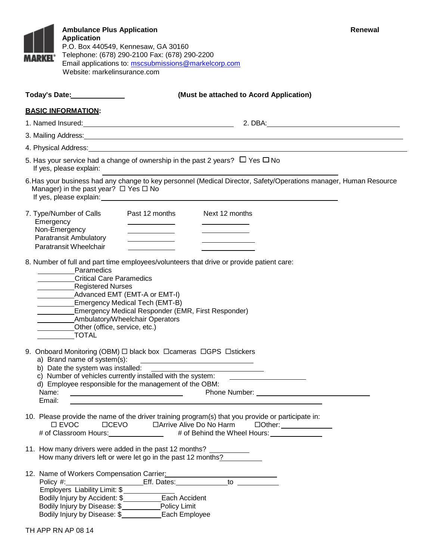| MARKEL®                                                                                                                                                                                                                                                                                                                                                                                                | <b>Ambulance Plus Application</b><br><b>Application</b><br>Website: markelinsurance.com                                                                                                                                                                                                                                                                                                                                                                                                                                                                                                                           | P.O. Box 440549, Kennesaw, GA 30160<br>Telephone: (678) 290-2100 Fax: (678) 290-2200<br>Email applications to: mscsubmissions@markelcorp.com                                                                                         |                                                                                                                                                                                                                                                | Renewal                                                                                                    |  |  |  |
|--------------------------------------------------------------------------------------------------------------------------------------------------------------------------------------------------------------------------------------------------------------------------------------------------------------------------------------------------------------------------------------------------------|-------------------------------------------------------------------------------------------------------------------------------------------------------------------------------------------------------------------------------------------------------------------------------------------------------------------------------------------------------------------------------------------------------------------------------------------------------------------------------------------------------------------------------------------------------------------------------------------------------------------|--------------------------------------------------------------------------------------------------------------------------------------------------------------------------------------------------------------------------------------|------------------------------------------------------------------------------------------------------------------------------------------------------------------------------------------------------------------------------------------------|------------------------------------------------------------------------------------------------------------|--|--|--|
|                                                                                                                                                                                                                                                                                                                                                                                                        | Today's Date: 1997                                                                                                                                                                                                                                                                                                                                                                                                                                                                                                                                                                                                |                                                                                                                                                                                                                                      | (Must be attached to Acord Application)                                                                                                                                                                                                        |                                                                                                            |  |  |  |
|                                                                                                                                                                                                                                                                                                                                                                                                        | <b>BASIC INFORMATION:</b>                                                                                                                                                                                                                                                                                                                                                                                                                                                                                                                                                                                         |                                                                                                                                                                                                                                      |                                                                                                                                                                                                                                                |                                                                                                            |  |  |  |
|                                                                                                                                                                                                                                                                                                                                                                                                        |                                                                                                                                                                                                                                                                                                                                                                                                                                                                                                                                                                                                                   |                                                                                                                                                                                                                                      |                                                                                                                                                                                                                                                | 1. Named Insured: <u>2000 Communications and Communications and Communications are alleged</u> and 2. DBA: |  |  |  |
| 3. Mailing Address: <u>contract and a series of the series of the series of the series of the series of the series of</u>                                                                                                                                                                                                                                                                              |                                                                                                                                                                                                                                                                                                                                                                                                                                                                                                                                                                                                                   |                                                                                                                                                                                                                                      |                                                                                                                                                                                                                                                |                                                                                                            |  |  |  |
|                                                                                                                                                                                                                                                                                                                                                                                                        |                                                                                                                                                                                                                                                                                                                                                                                                                                                                                                                                                                                                                   |                                                                                                                                                                                                                                      |                                                                                                                                                                                                                                                |                                                                                                            |  |  |  |
| 5. Has your service had a change of ownership in the past 2 years? $\Box$ Yes $\Box$ No<br>If yes, please explain:                                                                                                                                                                                                                                                                                     |                                                                                                                                                                                                                                                                                                                                                                                                                                                                                                                                                                                                                   |                                                                                                                                                                                                                                      |                                                                                                                                                                                                                                                |                                                                                                            |  |  |  |
| 6. Has your business had any change to key personnel (Medical Director, Safety/Operations manager, Human Resource<br>Manager) in the past year? $\Box$ Yes $\Box$ No<br>If yes, please explain: example and a series of the series of the series of the series of the series of the series of the series of the series of the series of the series of the series of the series of the series of the se |                                                                                                                                                                                                                                                                                                                                                                                                                                                                                                                                                                                                                   |                                                                                                                                                                                                                                      |                                                                                                                                                                                                                                                |                                                                                                            |  |  |  |
|                                                                                                                                                                                                                                                                                                                                                                                                        | 7. Type/Number of Calls                                                                                                                                                                                                                                                                                                                                                                                                                                                                                                                                                                                           | Past 12 months                                                                                                                                                                                                                       | Next 12 months                                                                                                                                                                                                                                 |                                                                                                            |  |  |  |
| Emergency                                                                                                                                                                                                                                                                                                                                                                                              | Non-Emergency                                                                                                                                                                                                                                                                                                                                                                                                                                                                                                                                                                                                     | <u> The Communication of the Communication of the Communication of the Communication of the Communication of the Communication of the Communication of the Communication of the Communication of the Communication of the Commun</u> |                                                                                                                                                                                                                                                |                                                                                                            |  |  |  |
|                                                                                                                                                                                                                                                                                                                                                                                                        | <b>Paratransit Ambulatory</b><br>Paratransit Wheelchair                                                                                                                                                                                                                                                                                                                                                                                                                                                                                                                                                           | the control of the control of the control of                                                                                                                                                                                         | <u> Louis Communication and the second second</u>                                                                                                                                                                                              |                                                                                                            |  |  |  |
|                                                                                                                                                                                                                                                                                                                                                                                                        | Paramedics<br><b>Critical Care Paramedics</b><br>Registered Nurses<br>Other (office, service, etc.)<br>$\begin{array}{c}\n\overline{a} & \overline{b} \\ \overline{a} & \overline{b} \\ \overline{b} & \overline{b} \\ \overline{c} & \overline{d} \\ \overline{d} & \overline{d} \\ \overline{d} & \overline{d} \\ \overline{d} & \overline{d} \\ \overline{d} & \overline{d} \\ \overline{d} & \overline{d} \\ \overline{d} & \overline{d} \\ \overline{d} & \overline{d} \\ \overline{d} & \overline{d} \\ \overline{d} & \overline{d} \\ \overline{d} & \overline{d} \\ \overline{d} & \overline{d} \\ \over$ | <b>Emergency Medical Tech (EMT-B)</b><br><b>Emergency Medical Responder (EMR, First Responder)</b><br>Ambulatory/Wheelchair Operators                                                                                                |                                                                                                                                                                                                                                                |                                                                                                            |  |  |  |
| Name:<br>Email:                                                                                                                                                                                                                                                                                                                                                                                        | a) Brand name of system(s):<br>b) Date the system was installed:                                                                                                                                                                                                                                                                                                                                                                                                                                                                                                                                                  | 9. Onboard Monitoring (OBM) $\Box$ black box $\Box$ cameras $\Box$ GPS $\Box$ stickers<br>c) Number of vehicles currently installed with the system:<br>d) Employee responsible for the management of the OBM:                       | <u> Listen von der Stadt von der Stadt von der Stadt von der Stadt von der Stadt von der Stadt von der Stadt von d</u><br><u> 1980 - Johann Stoff, deutscher Stoffen und der Stoffen und der Stoffen und der Stoffen und der Stoffen und d</u> |                                                                                                            |  |  |  |
| 10. Please provide the name of the driver training program(s) that you provide or participate in:<br>$\square$ EVOC<br># of Classroom Hours: ________________ # of Behind the Wheel Hours: ____________                                                                                                                                                                                                |                                                                                                                                                                                                                                                                                                                                                                                                                                                                                                                                                                                                                   |                                                                                                                                                                                                                                      |                                                                                                                                                                                                                                                |                                                                                                            |  |  |  |
| 11. How many drivers were added in the past 12 months? ___________<br>How many drivers left or were let go in the past 12 months?                                                                                                                                                                                                                                                                      |                                                                                                                                                                                                                                                                                                                                                                                                                                                                                                                                                                                                                   |                                                                                                                                                                                                                                      |                                                                                                                                                                                                                                                |                                                                                                            |  |  |  |
| 12. Name of Workers Compensation Carrier: 2008 2010 2020 2021<br>Policy #: ___________________________Eff. Dates: ________________to ____________<br>Bodily Injury by Disease: \$___________Policy Limit<br>Bodily Injury by Disease: \$______________Each Employee                                                                                                                                    |                                                                                                                                                                                                                                                                                                                                                                                                                                                                                                                                                                                                                   |                                                                                                                                                                                                                                      |                                                                                                                                                                                                                                                |                                                                                                            |  |  |  |